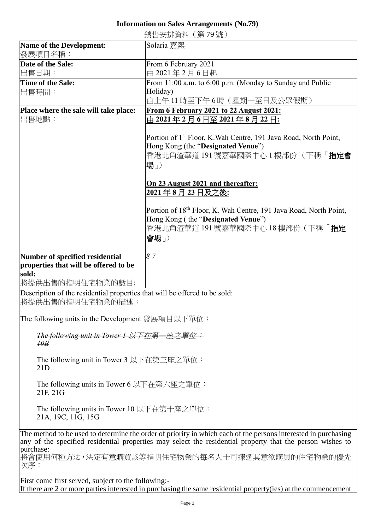## **Information on Sales Arrangements (No.79)**

|                                                                            | 銷售安排資料 (第79號)                                                                 |
|----------------------------------------------------------------------------|-------------------------------------------------------------------------------|
| Name of the Development:                                                   | Solaria 嘉熙                                                                    |
| 發展項目名稱:                                                                    |                                                                               |
| Date of the Sale:                                                          | From 6 February 2021                                                          |
| 出售日期:                                                                      | 由 2021年2月6日起                                                                  |
| Time of the Sale:                                                          | From 11:00 a.m. to 6:00 p.m. (Monday to Sunday and Public                     |
| 出售時間:                                                                      | Holiday)                                                                      |
|                                                                            | 由上午 11 時至下午 6 時(星期一至日及公眾假期)                                                   |
| Place where the sale will take place:                                      | <b>From 6 February 2021 to 22 August 2021:</b>                                |
| 出售地點:                                                                      | <u>由 2021 年 2 月 6 日至 2021 年 8 月 22 日:</u>                                     |
|                                                                            |                                                                               |
|                                                                            | Portion of 1 <sup>st</sup> Floor, K. Wah Centre, 191 Java Road, North Point,  |
|                                                                            | Hong Kong (the "Designated Venue")                                            |
|                                                                            | 香港北角渣華道 191 號嘉華國際中心 1 樓部份 (下稱「 <b>指定會</b>                                     |
|                                                                            | 場」)                                                                           |
|                                                                            |                                                                               |
|                                                                            | On 23 August 2021 and thereafter:                                             |
|                                                                            | 2021年8月23日及之後:                                                                |
|                                                                            |                                                                               |
|                                                                            | Portion of 18 <sup>th</sup> Floor, K. Wah Centre, 191 Java Road, North Point, |
|                                                                            | Hong Kong (the "Designated Venue")                                            |
|                                                                            | 香港北角渣華道 191號嘉華國際中心 18 樓部份 (下稱「指定                                              |
|                                                                            | 會場」)                                                                          |
|                                                                            |                                                                               |
| Number of specified residential                                            | $\overline{8}$ 7                                                              |
| properties that will be offered to be                                      |                                                                               |
| sold:                                                                      |                                                                               |
| 將提供出售的指明住宅物業的數目:                                                           |                                                                               |
| Description of the residential properties that will be offered to be sold: |                                                                               |
| 將提供出售的指明住宅物業的描述:                                                           |                                                                               |
|                                                                            |                                                                               |

The following units in the Development 發展項目以下單位:

*The following unit in Tower 1* 以下在第一座之單位: *19B*

The following unit in Tower 3 以下在第三座之單位: 21D

The following units in Tower 6 以下在第六座之單位: 21F, 21G

The following units in Tower 10 以下在第十座之單位: 21A, 19C, 11G, 15G

The method to be used to determine the order of priority in which each of the persons interested in purchasing any of the specified residential properties may select the residential property that the person wishes to purchase:

將會使用何種方法,決定有意購買該等指明住宅物業的每名人士可揀選其意欲購買的住宅物業的優先 次序:

First come first served, subject to the following:- If there are 2 or more parties interested in purchasing the same residential property(ies) at the commencement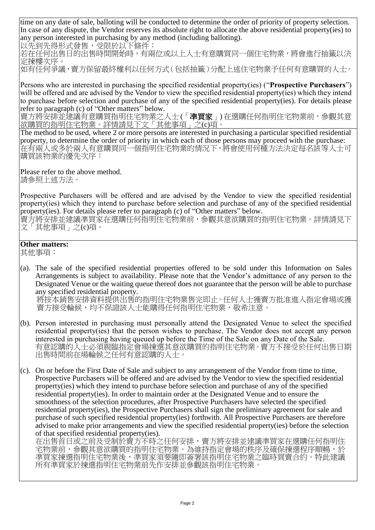time on any date of sale, balloting will be conducted to determine the order of priority of property selection. In case of any dispute, the Vendor reserves its absolute right to allocate the above residential property(ies) to any person interested in purchasing by any method (including balloting).

以先到先得形式發售,受限於以下條件:

若在任何出售日的出售時間開始時,有兩位或以上人士有意購買同一個住宅物業,將會進行抽籤以決 定揀樓次序。

如有任何爭議,賣方保留最終權利以任何方式(包括抽籤)分配上述住宅物業予任何有意購買的人士。

Persons who are interested in purchasing the specified residential property(ies) ("**Prospective Purchasers**") will be offered and are advised by the Vendor to view the specified residential property(ies) which they intend to purchase before selection and purchase of any of the specified residential property(ies). For details please refer to paragraph (c) of "Other matters" below.

賣方將安排並建議有意購買指明住宅物業之人士(「**準買家**」)在選購任何指明住宅物業前,參觀其意 欲購買的指明住宅物業。詳情請見下文「其他事項」之(c)項。

The method to be used, where 2 or more persons are interested in purchasing a particular specified residential property, to determine the order of priority in which each of those persons may proceed with the purchase: 在有兩人或多於兩人有意購買同一個指明住宅物業的情況下,將會使用何種方法決定每名該等人士可 購買該物業的優先次序:

Please refer to the above method. 請參照上述方法。

Prospective Purchasers will be offered and are advised by the Vendor to view the specified residential property(ies) which they intend to purchase before selection and purchase of any of the specified residential property(ies). For details please refer to paragraph (c) of "Other matters" below.

賣方將安排並建議準買家在選購任何指明住宅物業前,參觀其意欲購買的指明住宅物業。詳情請見下 文「其他事項」之(c)項。

## **Other matters:**

其他事項:

(a). The sale of the specified residential properties offered to be sold under this Information on Sales Arrangements is subject to availability. Please note that the Vendor's admittance of any person to the Designated Venue or the waiting queue thereof does not guarantee that the person will be able to purchase any specified residential property.

將按本銷售安排資料提供出售的指明住宅物業售完即止。任何人士獲賣方批准進入指定會場或獲 賣方接受輪候,均不保證該人士能購得任何指明住宅物業,敬希注意。

- (b). Person interested in purchasing must personally attend the Designated Venue to select the specified residential property(ies) that the person wishes to purchase. The Vendor does not accept any person interested in purchasing having queued up before the Time of the Sale on any Date of the Sale. 有意認購的人士必須親臨指定會場揀選其意欲購買的指明住宅物業。賣方不接受於任何出售日期 出售時間前在場輪候之任何有意認購的人士。
- (c). On or before the First Date of Sale and subject to any arrangement of the Vendor from time to time, Prospective Purchasers will be offered and are advised by the Vendor to view the specified residential property(ies) which they intend to purchase before selection and purchase of any of the specified residential property(ies). In order to maintain order at the Designated Venue and to ensure the smoothness of the selection procedures, after Prospective Purchasers have selected the specified residential property(ies), the Prospective Purchasers shall sign the preliminary agreement for sale and purchase of such specified residential property(ies) forthwith. All Prospective Purchasers are therefore advised to make prior arrangements and view the specified residential property(ies) before the selection of that specified residential property(ies).

在出售首日或之前及受制於賣方不時之任何安排,賣方將安排並建議準買家在選購任何指明住 宅物業前,參觀其意欲購買的指明住宅物業。為維持指定會場的秩序及確保揀選程序順暢,於 準買家揀選指明住宅物業後,準買家須要隨即簽署該指明住宅物業之臨時買賣合約。特此建議 所有準買家於揀選指明住宅物業前先作安排並參觀該指明住宅物業。